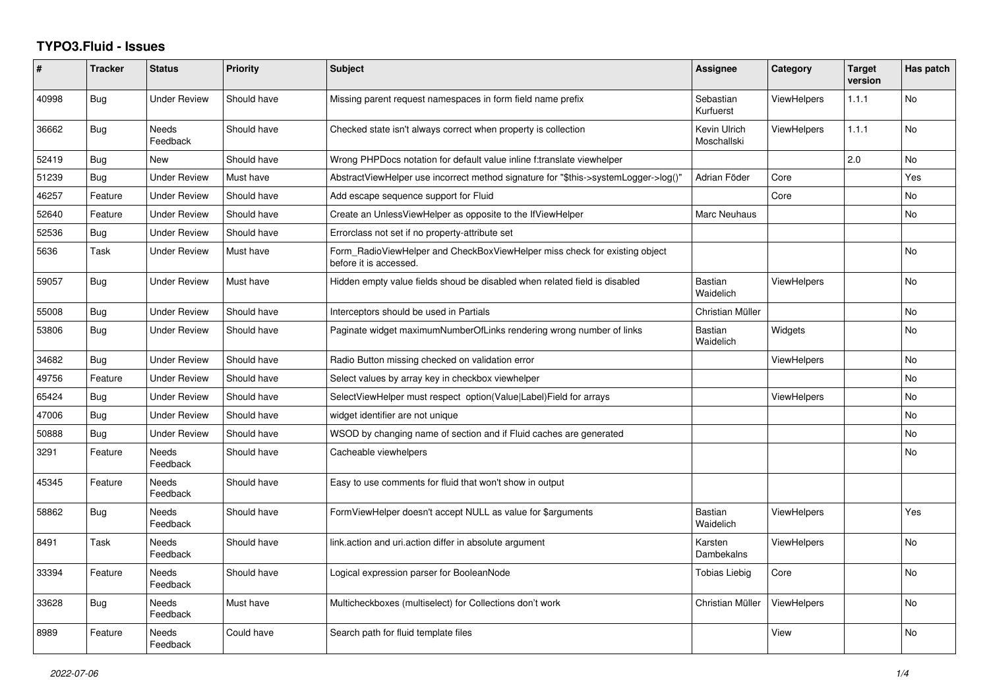## **TYPO3.Fluid - Issues**

| #     | <b>Tracker</b> | <b>Status</b>            | <b>Priority</b> | <b>Subject</b>                                                                                       | Assignee                     | Category           | <b>Target</b><br>version | Has patch      |
|-------|----------------|--------------------------|-----------------|------------------------------------------------------------------------------------------------------|------------------------------|--------------------|--------------------------|----------------|
| 40998 | Bug            | <b>Under Review</b>      | Should have     | Missing parent request namespaces in form field name prefix                                          | Sebastian<br>Kurfuerst       | <b>ViewHelpers</b> | 1.1.1                    | No             |
| 36662 | Bug            | <b>Needs</b><br>Feedback | Should have     | Checked state isn't always correct when property is collection                                       | Kevin Ulrich<br>Moschallski  | <b>ViewHelpers</b> | 1.1.1                    | <b>No</b>      |
| 52419 | <b>Bug</b>     | New                      | Should have     | Wrong PHPDocs notation for default value inline f:translate viewhelper                               |                              |                    | 2.0                      | <b>No</b>      |
| 51239 | <b>Bug</b>     | <b>Under Review</b>      | Must have       | AbstractViewHelper use incorrect method signature for "\$this->systemLogger->log()"                  | Adrian Föder                 | Core               |                          | Yes            |
| 46257 | Feature        | Under Review             | Should have     | Add escape sequence support for Fluid                                                                |                              | Core               |                          | <b>No</b>      |
| 52640 | Feature        | <b>Under Review</b>      | Should have     | Create an UnlessViewHelper as opposite to the IfViewHelper                                           | Marc Neuhaus                 |                    |                          | <b>No</b>      |
| 52536 | Bug            | <b>Under Review</b>      | Should have     | Errorclass not set if no property-attribute set                                                      |                              |                    |                          |                |
| 5636  | Task           | Under Review             | Must have       | Form_RadioViewHelper and CheckBoxViewHelper miss check for existing object<br>before it is accessed. |                              |                    |                          | <b>No</b>      |
| 59057 | <b>Bug</b>     | Under Review             | Must have       | Hidden empty value fields shoud be disabled when related field is disabled                           | <b>Bastian</b><br>Waidelich  | <b>ViewHelpers</b> |                          | <b>No</b>      |
| 55008 | Bug            | Under Review             | Should have     | Interceptors should be used in Partials                                                              | Christian Müller             |                    |                          | <b>No</b>      |
| 53806 | Bug            | Under Review             | Should have     | Paginate widget maximumNumberOfLinks rendering wrong number of links                                 | Bastian<br>Waidelich         | Widgets            |                          | <b>No</b>      |
| 34682 | <b>Bug</b>     | Under Review             | Should have     | Radio Button missing checked on validation error                                                     |                              | <b>ViewHelpers</b> |                          | <b>No</b>      |
| 49756 | Feature        | <b>Under Review</b>      | Should have     | Select values by array key in checkbox viewhelper                                                    |                              |                    |                          | <b>No</b>      |
| 65424 | <b>Bug</b>     | <b>Under Review</b>      | Should have     | SelectViewHelper must respect option(Value Label)Field for arrays                                    |                              | <b>ViewHelpers</b> |                          | <b>No</b>      |
| 47006 | <b>Bug</b>     | <b>Under Review</b>      | Should have     | widget identifier are not unique                                                                     |                              |                    |                          | <b>No</b>      |
| 50888 | Bug            | Under Review             | Should have     | WSOD by changing name of section and if Fluid caches are generated                                   |                              |                    |                          | No             |
| 3291  | Feature        | <b>Needs</b><br>Feedback | Should have     | Cacheable viewhelpers                                                                                |                              |                    |                          | <b>No</b>      |
| 45345 | Feature        | Needs<br>Feedback        | Should have     | Easy to use comments for fluid that won't show in output                                             |                              |                    |                          |                |
| 58862 | <b>Bug</b>     | Needs<br>Feedback        | Should have     | FormViewHelper doesn't accept NULL as value for \$arguments                                          | Bastian<br>Waidelich         | <b>ViewHelpers</b> |                          | Yes            |
| 8491  | Task           | Needs<br>Feedback        | Should have     | link.action and uri.action differ in absolute argument                                               | Karsten<br><b>Dambekalns</b> | <b>ViewHelpers</b> |                          | N <sub>o</sub> |
| 33394 | Feature        | Needs<br>Feedback        | Should have     | Logical expression parser for BooleanNode                                                            | Tobias Liebig                | Core               |                          | <b>No</b>      |
| 33628 | <b>Bug</b>     | Needs<br>Feedback        | Must have       | Multicheckboxes (multiselect) for Collections don't work                                             | Christian Müller             | <b>ViewHelpers</b> |                          | <b>No</b>      |
| 8989  | Feature        | <b>Needs</b><br>Feedback | Could have      | Search path for fluid template files                                                                 |                              | View               |                          | <b>No</b>      |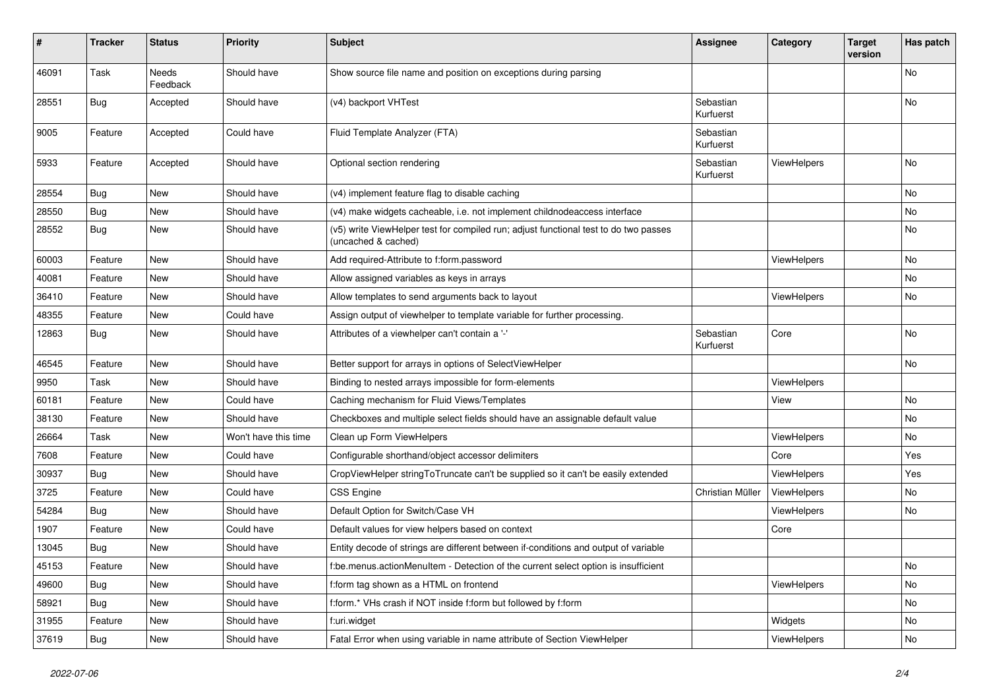| $\vert$ # | <b>Tracker</b> | <b>Status</b>     | <b>Priority</b>      | Subject                                                                                                     | <b>Assignee</b>        | Category    | <b>Target</b><br>version | Has patch |
|-----------|----------------|-------------------|----------------------|-------------------------------------------------------------------------------------------------------------|------------------------|-------------|--------------------------|-----------|
| 46091     | Task           | Needs<br>Feedback | Should have          | Show source file name and position on exceptions during parsing                                             |                        |             |                          | <b>No</b> |
| 28551     | <b>Bug</b>     | Accepted          | Should have          | (v4) backport VHTest                                                                                        | Sebastian<br>Kurfuerst |             |                          | No        |
| 9005      | Feature        | Accepted          | Could have           | Fluid Template Analyzer (FTA)                                                                               | Sebastian<br>Kurfuerst |             |                          |           |
| 5933      | Feature        | Accepted          | Should have          | Optional section rendering                                                                                  | Sebastian<br>Kurfuerst | ViewHelpers |                          | No        |
| 28554     | Bug            | <b>New</b>        | Should have          | (v4) implement feature flag to disable caching                                                              |                        |             |                          | No        |
| 28550     | Bug            | New               | Should have          | (v4) make widgets cacheable, i.e. not implement childnodeaccess interface                                   |                        |             |                          | No        |
| 28552     | <b>Bug</b>     | New               | Should have          | (v5) write ViewHelper test for compiled run; adjust functional test to do two passes<br>(uncached & cached) |                        |             |                          | No        |
| 60003     | Feature        | <b>New</b>        | Should have          | Add required-Attribute to f:form.password                                                                   |                        | ViewHelpers |                          | No        |
| 40081     | Feature        | New               | Should have          | Allow assigned variables as keys in arrays                                                                  |                        |             |                          | No        |
| 36410     | Feature        | New               | Should have          | Allow templates to send arguments back to layout                                                            |                        | ViewHelpers |                          | No        |
| 48355     | Feature        | New               | Could have           | Assign output of viewhelper to template variable for further processing.                                    |                        |             |                          |           |
| 12863     | Bug            | New               | Should have          | Attributes of a viewhelper can't contain a '-'                                                              | Sebastian<br>Kurfuerst | Core        |                          | No        |
| 46545     | Feature        | New               | Should have          | Better support for arrays in options of SelectViewHelper                                                    |                        |             |                          | No        |
| 9950      | Task           | <b>New</b>        | Should have          | Binding to nested arrays impossible for form-elements                                                       |                        | ViewHelpers |                          |           |
| 60181     | Feature        | New               | Could have           | Caching mechanism for Fluid Views/Templates                                                                 |                        | View        |                          | No        |
| 38130     | Feature        | New               | Should have          | Checkboxes and multiple select fields should have an assignable default value                               |                        |             |                          | No        |
| 26664     | Task           | New               | Won't have this time | Clean up Form ViewHelpers                                                                                   |                        | ViewHelpers |                          | No        |
| 7608      | Feature        | New               | Could have           | Configurable shorthand/object accessor delimiters                                                           |                        | Core        |                          | Yes       |
| 30937     | Bug            | <b>New</b>        | Should have          | CropViewHelper stringToTruncate can't be supplied so it can't be easily extended                            |                        | ViewHelpers |                          | Yes       |
| 3725      | Feature        | New               | Could have           | CSS Engine                                                                                                  | Christian Müller       | ViewHelpers |                          | No        |
| 54284     | Bug            | New               | Should have          | Default Option for Switch/Case VH                                                                           |                        | ViewHelpers |                          | No        |
| 1907      | Feature        | New               | Could have           | Default values for view helpers based on context                                                            |                        | Core        |                          |           |
| 13045     | <b>Bug</b>     | New               | Should have          | Entity decode of strings are different between if-conditions and output of variable                         |                        |             |                          |           |
| 45153     | Feature        | New               | Should have          | f:be.menus.actionMenuItem - Detection of the current select option is insufficient                          |                        |             |                          | No        |
| 49600     | Bug            | New               | Should have          | f:form tag shown as a HTML on frontend                                                                      |                        | ViewHelpers |                          | No        |
| 58921     | Bug            | <b>New</b>        | Should have          | f:form.* VHs crash if NOT inside f:form but followed by f:form                                              |                        |             |                          | No        |
| 31955     | Feature        | <b>New</b>        | Should have          | f:uri.widget                                                                                                |                        | Widgets     |                          | No        |
| 37619     | Bug            | New               | Should have          | Fatal Error when using variable in name attribute of Section ViewHelper                                     |                        | ViewHelpers |                          | No        |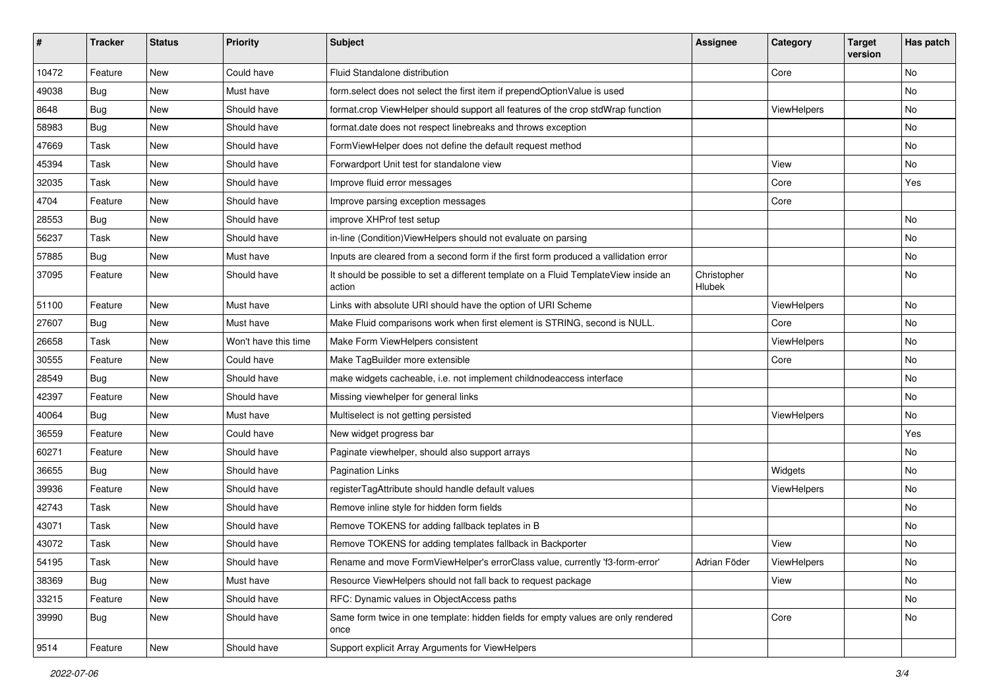| #     | <b>Tracker</b> | <b>Status</b> | <b>Priority</b>      | Subject                                                                                       | Assignee              | Category    | <b>Target</b><br>version | Has patch |
|-------|----------------|---------------|----------------------|-----------------------------------------------------------------------------------------------|-----------------------|-------------|--------------------------|-----------|
| 10472 | Feature        | New           | Could have           | Fluid Standalone distribution                                                                 |                       | Core        |                          | <b>No</b> |
| 49038 | Bug            | New           | Must have            | form select does not select the first item if prependOptionValue is used                      |                       |             |                          | No        |
| 8648  | Bug            | New           | Should have          | format.crop ViewHelper should support all features of the crop stdWrap function               |                       | ViewHelpers |                          | No        |
| 58983 | Bug            | <b>New</b>    | Should have          | format.date does not respect linebreaks and throws exception                                  |                       |             |                          | No        |
| 47669 | Task           | New           | Should have          | FormViewHelper does not define the default request method                                     |                       |             |                          | No        |
| 45394 | Task           | <b>New</b>    | Should have          | Forwardport Unit test for standalone view                                                     |                       | View        |                          | No        |
| 32035 | Task           | New           | Should have          | Improve fluid error messages                                                                  |                       | Core        |                          | Yes       |
| 4704  | Feature        | New           | Should have          | Improve parsing exception messages                                                            |                       | Core        |                          |           |
| 28553 | Bug            | New           | Should have          | improve XHProf test setup                                                                     |                       |             |                          | <b>No</b> |
| 56237 | Task           | New           | Should have          | in-line (Condition) View Helpers should not evaluate on parsing                               |                       |             |                          | No        |
| 57885 | Bug            | New           | Must have            | Inputs are cleared from a second form if the first form produced a vallidation error          |                       |             |                          | <b>No</b> |
| 37095 | Feature        | New           | Should have          | It should be possible to set a different template on a Fluid TemplateView inside an<br>action | Christopher<br>Hlubek |             |                          | No        |
| 51100 | Feature        | New           | Must have            | Links with absolute URI should have the option of URI Scheme                                  |                       | ViewHelpers |                          | No        |
| 27607 | Bug            | New           | Must have            | Make Fluid comparisons work when first element is STRING, second is NULL.                     |                       | Core        |                          | No        |
| 26658 | Task           | New           | Won't have this time | Make Form ViewHelpers consistent                                                              |                       | ViewHelpers |                          | No        |
| 30555 | Feature        | New           | Could have           | Make TagBuilder more extensible                                                               |                       | Core        |                          | No        |
| 28549 | Bug            | New           | Should have          | make widgets cacheable, i.e. not implement childnodeaccess interface                          |                       |             |                          | No        |
| 42397 | Feature        | <b>New</b>    | Should have          | Missing viewhelper for general links                                                          |                       |             |                          | <b>No</b> |
| 40064 | Bug            | New           | Must have            | Multiselect is not getting persisted                                                          |                       | ViewHelpers |                          | No        |
| 36559 | Feature        | New           | Could have           | New widget progress bar                                                                       |                       |             |                          | Yes       |
| 60271 | Feature        | New           | Should have          | Paginate viewhelper, should also support arrays                                               |                       |             |                          | <b>No</b> |
| 36655 | Bug            | New           | Should have          | Pagination Links                                                                              |                       | Widgets     |                          | No        |
| 39936 | Feature        | New           | Should have          | registerTagAttribute should handle default values                                             |                       | ViewHelpers |                          | <b>No</b> |
| 42743 | Task           | New           | Should have          | Remove inline style for hidden form fields                                                    |                       |             |                          | No        |
| 43071 | Task           | New           | Should have          | Remove TOKENS for adding fallback teplates in B                                               |                       |             |                          | No        |
| 43072 | Task           | New           | Should have          | Remove TOKENS for adding templates fallback in Backporter                                     |                       | View        |                          | No        |
| 54195 | Task           | New           | Should have          | Rename and move FormViewHelper's errorClass value, currently 'f3-form-error'                  | Adrian Föder          | ViewHelpers |                          | No        |
| 38369 | <b>Bug</b>     | New           | Must have            | Resource ViewHelpers should not fall back to request package                                  |                       | View        |                          | No        |
| 33215 | Feature        | New           | Should have          | RFC: Dynamic values in ObjectAccess paths                                                     |                       |             |                          | No        |
| 39990 | Bug            | New           | Should have          | Same form twice in one template: hidden fields for empty values are only rendered<br>once     |                       | Core        |                          | No        |
| 9514  | Feature        | New           | Should have          | Support explicit Array Arguments for ViewHelpers                                              |                       |             |                          |           |